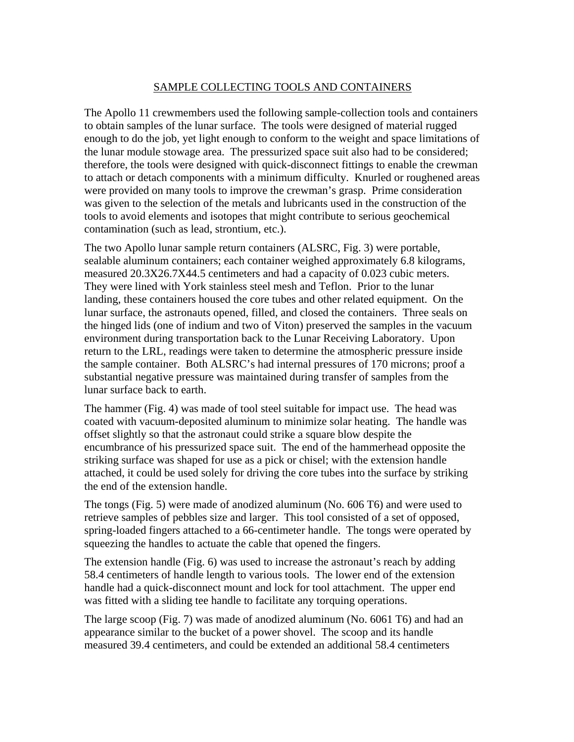## SAMPLE COLLECTING TOOLS AND CONTAINERS

The Apollo 11 crewmembers used the following sample-collection tools and containers to obtain samples of the lunar surface. The tools were designed of material rugged enough to do the job, yet light enough to conform to the weight and space limitations of the lunar module stowage area. The pressurized space suit also had to be considered; therefore, the tools were designed with quick-disconnect fittings to enable the crewman to attach or detach components with a minimum difficulty. Knurled or roughened areas were provided on many tools to improve the crewman's grasp. Prime consideration was given to the selection of the metals and lubricants used in the construction of the tools to avoid elements and isotopes that might contribute to serious geochemical contamination (such as lead, strontium, etc.).

The two Apollo lunar sample return containers (ALSRC, Fig. 3) were portable, sealable aluminum containers; each container weighed approximately 6.8 kilograms, measured 20.3X26.7X44.5 centimeters and had a capacity of 0.023 cubic meters. They were lined with York stainless steel mesh and Teflon. Prior to the lunar landing, these containers housed the core tubes and other related equipment. On the lunar surface, the astronauts opened, filled, and closed the containers. Three seals on the hinged lids (one of indium and two of Viton) preserved the samples in the vacuum environment during transportation back to the Lunar Receiving Laboratory. Upon return to the LRL, readings were taken to determine the atmospheric pressure inside the sample container. Both ALSRC's had internal pressures of 170 microns; proof a substantial negative pressure was maintained during transfer of samples from the lunar surface back to earth.

The hammer (Fig. 4) was made of tool steel suitable for impact use. The head was coated with vacuum-deposited aluminum to minimize solar heating. The handle was offset slightly so that the astronaut could strike a square blow despite the encumbrance of his pressurized space suit. The end of the hammerhead opposite the striking surface was shaped for use as a pick or chisel; with the extension handle attached, it could be used solely for driving the core tubes into the surface by striking the end of the extension handle.

The tongs (Fig. 5) were made of anodized aluminum (No. 606 T6) and were used to retrieve samples of pebbles size and larger. This tool consisted of a set of opposed, spring-loaded fingers attached to a 66-centimeter handle. The tongs were operated by squeezing the handles to actuate the cable that opened the fingers.

The extension handle (Fig. 6) was used to increase the astronaut's reach by adding 58.4 centimeters of handle length to various tools. The lower end of the extension handle had a quick-disconnect mount and lock for tool attachment. The upper end was fitted with a sliding tee handle to facilitate any torquing operations.

The large scoop (Fig. 7) was made of anodized aluminum (No. 6061 T6) and had an appearance similar to the bucket of a power shovel. The scoop and its handle measured 39.4 centimeters, and could be extended an additional 58.4 centimeters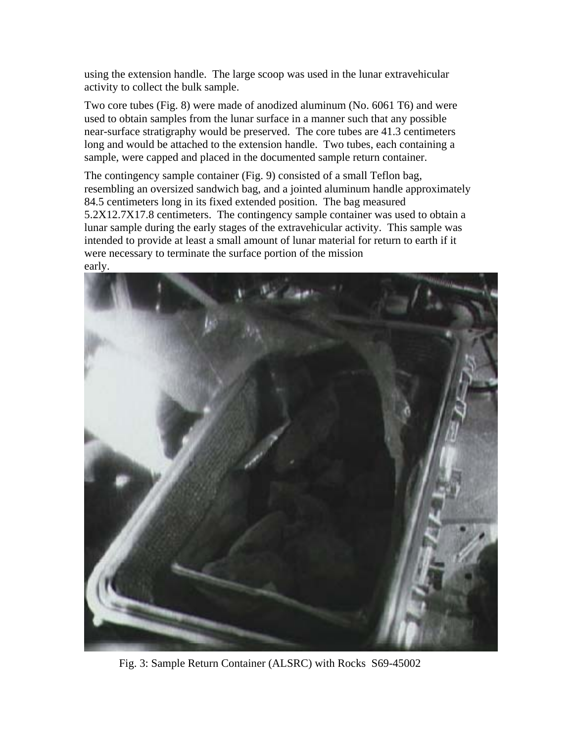using the extension handle. The large scoop was used in the lunar extravehicular activity to collect the bulk sample.

Two core tubes (Fig. 8) were made of anodized aluminum (No. 6061 T6) and were used to obtain samples from the lunar surface in a manner such that any possible near-surface stratigraphy would be preserved. The core tubes are 41.3 centimeters long and would be attached to the extension handle. Two tubes, each containing a sample, were capped and placed in the documented sample return container.

The contingency sample container (Fig. 9) consisted of a small Teflon bag, resembling an oversized sandwich bag, and a jointed aluminum handle approximately 84.5 centimeters long in its fixed extended position. The bag measured 5.2X12.7X17.8 centimeters. The contingency sample container was used to obtain a lunar sample during the early stages of the extravehicular activity. This sample was intended to provide at least a small amount of lunar material for return to earth if it were necessary to terminate the surface portion of the mission early.



Fig. 3: Sample Return Container (ALSRC) with Rocks S69-45002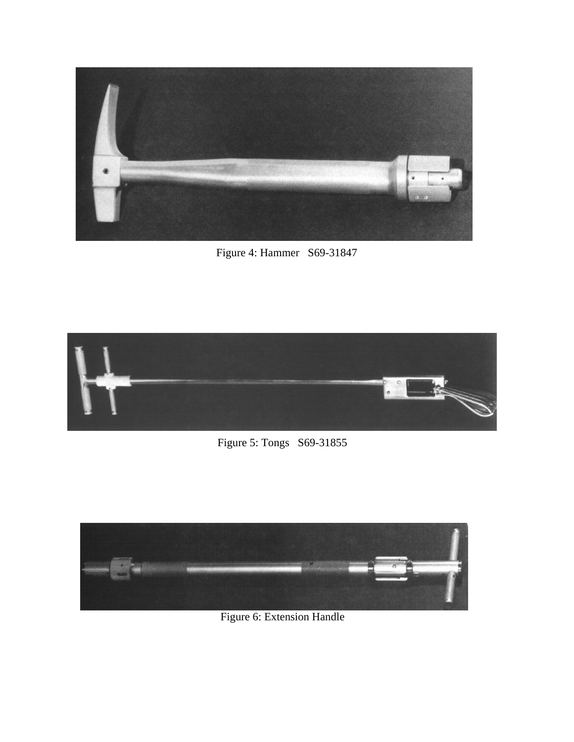

Figure 4: Hammer S69-31847



Figure 5: Tongs S69-31855



Figure 6: Extension Handle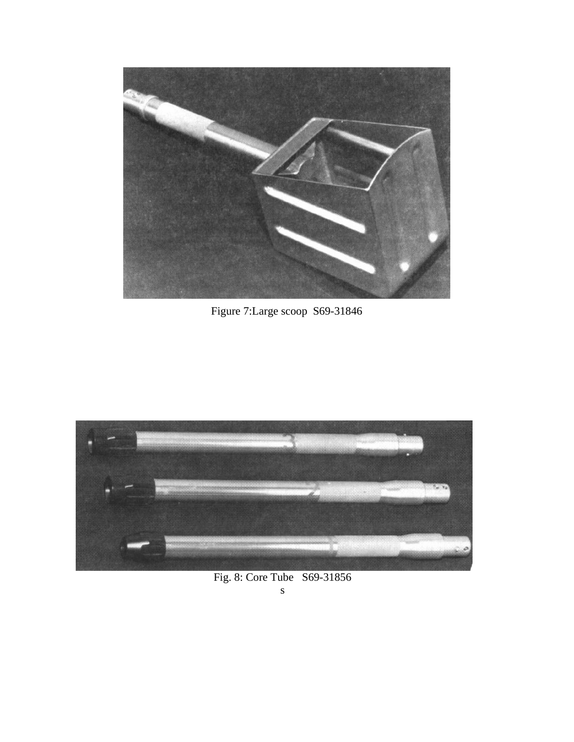

Figure 7:Large scoop S69-31846



Fig. 8: Core Tube S69-31856 s